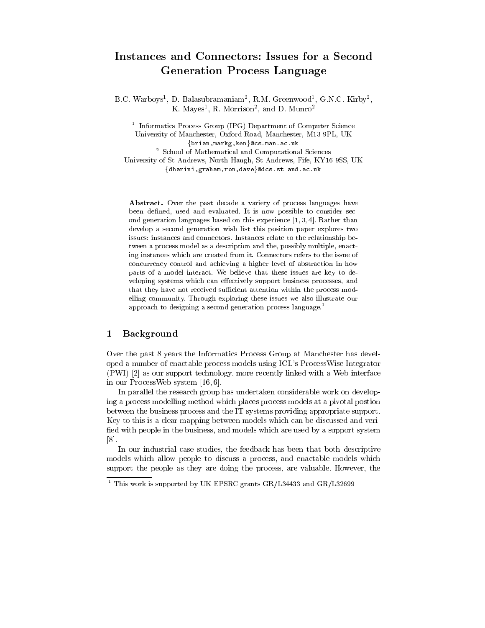# $\mathcal{L}$  and  $\mathcal{L}$  and  $\mathcal{L}$  are process language language  $\mathcal{L}$

D.C. Warboys", D. Balasubramamam", R.M. Greenwood", G.N.C. Kirby", K. Mayes , R. Morrison-, and D. Munro-

<sup>1</sup> Informatics Process Group (IPG) Department of Computer Science University of Manchester, Oxford Road, Manchester, M13 9PL, UK {brian, markg, ken}@cs.man.ac.uk

<sup>2</sup> School of Mathematical and Computational Sciences

University of St Andrews, North Haugh, St Andrews, Fife, KY16 9SS, UK {dharini,graham,ron,dave}@dcs.st-and.ac.uk

Abstract. Over the past decade a variety of process languages have been defined, used and evaluated. It is now possible to consider second generation languages based on this experience [1, 3, 4]. Rather than develop a second generation wish list this position paper explores two issues: instances and connectors. Instances relate to the relationship between a process model as a description and the, possibly multiple, enacting instances which are created from it. Connectors refers to the issue of concurrency control and achieving a higher level of abstraction in how parts of a model interact. We believe that these issues are key to de veloping systems which can effectively support business processes, and that they have not received sufficient attention within the process modelling community. Through exploring these issues we also illustrate our approach to designing a second generation process language.<sup>1</sup>

# 1 Background

Over the past 8 years the Informatics Process Group at Manchester has developed a number of enactable process models using ICL's ProcessWise Integrator (PWI) [2] as our support technology, more recently linked with a Web interface in our ProcessWeb system [16, 6].

In parallel the research group has undertaken considerable work on developing a process modelling method which places process models at a pivotal postion between the business process and the IT systems providing appropriate support. Key to this is a clear mapping between models which can be discussed and veri fied with people in the business, and models which are used by a support system [8].

In our industrial case studies, the feedback has been that both descriptive models which allow people to discuss a process, and enactable models which support the people as they are doing the process, are valuable. However, the

<sup>1</sup> This work is supported by UK EPSRC grants GR/L34433 and GR/L32699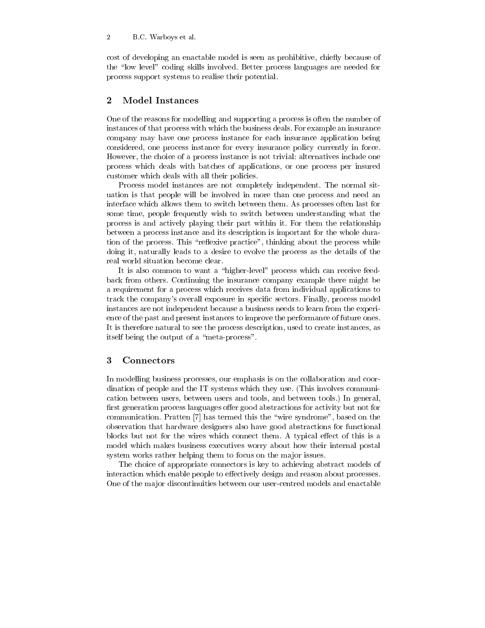cost of developing an enactable model is seen as prohibitive, chiefly because of the "low level" coding skills involved. Better process languages are needed for process support systems to realise their potential.

#### $\overline{2}$ Model Instances

One of the reasons for modelling and supporting a process is often the number of instances of that process with which the business deals. For example an insurance company may have one process instance for each insurance application being considered, one process instance for every insurance policy currently in force. However, the choice of a process instance is not trivial: alternatives include one process which deals with batches of applications, or one process per insured customer which deals with all their policies.

Process model instances are not completely independent. The normal situation isthat people will be involved in more than one process and need an interface which allows them to switch between them. As processes often last for some time, people frequently wish to switch between understanding what the process is and actively playing their part within it. For them the relationship between a process instance and its description is important for the whole duration of the process. This "reflexive practice", thinking about the process while doing it, naturally leads to a desire to evolve the process as the details of the real world situation become clear.

It is also common to want a "higher-level" process which can receive feedback from others. Continuing the insurance company example there might be a requirement for a process which receives data from individual applications to track the company's overall exposure in specic sectors. Finally, process model instances are not independent because a business needs to learn from the experience of the past and present instances to improve the performance of future ones. It is therefore natural to see the process description, used to create instances, as itself being the output of a "meta-process".

## 3 Connectors

In modelling business processes, our emphasis is on the collaboration and coordination of people and the IT systems which they use. (This involves communication between users, between users and tools, and between tools.) In general, first generation process languages offer good abstractions for activity but not for communication. Pratten [7] has termed this the \wire syndrome", based on the observation that hardware designers also have good abstractions for functional blocks but not for the wires which connect them. A typical effect of this is a model which makes business executives worry about how their internal postal system works rather helping them to focus on the major issues.

The choice of appropriate connectors is key to achieving abstract models of interaction which enable people to effectively design and reason about processes. One of the major discontinuities between our user-centred models and enactable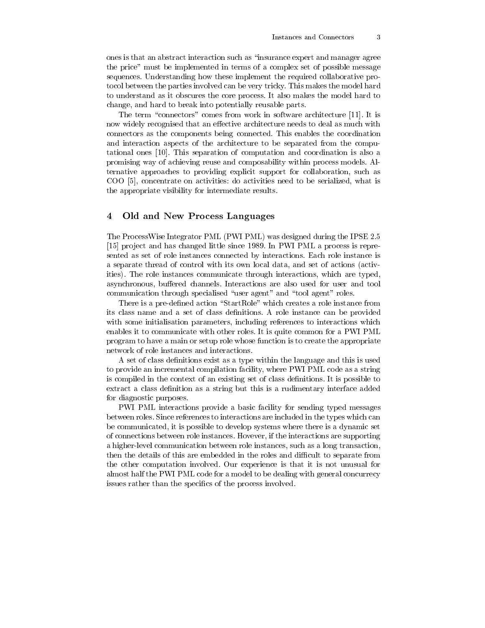ones is that an abstract interaction such as \insurance expert and manager agree the price" must be implemented in terms of a complex set of possible message sequences. Understanding how these implement the required collaborative protocol between the parties involved can be very tricky. This makes the model hard to understand as it obscures the core process. It also makes the model hard to change, and hard to break into potentially reusable parts.

The term "connectors" comes from work in software architecture  $[11]$ . It is now widely recognised that an effective architecture needs to deal as much with connectors as the components being connected. This enables the coordination and interaction aspects of the architecture to be separated from the computational ones [10]. This separation of computation and coordination is also a promising way of achieving reuse and composability within process models. Alternative approaches to providing explicit support for collaboration, such as COO [5], concentrate on activities: do activities need to be serialized, what is the appropriate visibility for intermediate results.

## 4 Old and New Process Languages

The ProcessWise Integrator PML (PWI PML) was designed during the IPSE 2.5 [15] project and has changed little since 1989. In PWI PML a process is represented as set of role instances connected by interactions. Each role instance is a separate thread of control with its own local data, and set of actions (activities). The role instances communicate through interactions, which are typed, asynchronous, buffered channels. Interactions are also used for user and tool communication through specialised "user agent" and "tool agent" roles.

There is a pre-defined action "StartRole" which creates a role instance from its class name and a set of class definitions. A role instance can be provided with some initialisation parameters, including references to interactions which enables it to communicate with other roles. It is quite common for a PWI PML program to have a main or setup role whose function is to create the appropriate network of role instances and interactions.

A set of class definitions exist as a type within the language and this is used to provide an incremental compilation facility, where PWI PML code as a string is compiled in the context of an existing set of class denitions. It is possible to extract a class definition as a string but this is a rudimentary interface added for diagnostic purposes.

PWI PML interactions provide a basic facility for sending typed messages between roles. Since references to interactions are included in the types which can be communicated, it is possible to develop systems where there is a dynamic set of connections between role instances. Hovever, if the interactions are supporting a higher-level communication between role instances, such as a long transaction, then the details of this are embedded in the roles and difficult to separate from the other computation involved. Our experience is that it is not unusual for almost half the PWI PML code for a model to be dealing with general concurrecy issues rather than the specifics of the process involved.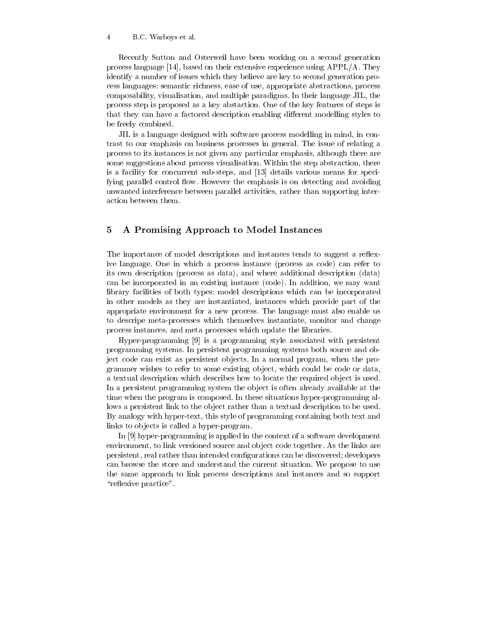Recently Sutton and Osterweil have been working on a second generation process language [14], based on their extensive experience using APPL/A. They identify a number of issues which they believe are key to second generation process languages: semantic richness, ease of use, appropriate abstractions, process composability, visualisation, and multiple paradigms. In their language JIL, the process step is proposed as a key abstaction. One of the key features of steps is that they can have a factored description enabling different modelling styles to be freely combined.

JIL is a language designed with software process modelling in mind, in contrast to our emphasis on business processes in general. The issue of relating a process to its instances is not given any particular emphasis, although there are some suggestions about process visualisation. Within the step abstraction, there is a facility for concurrent sub-steps, and  $[13]$  details various means for specifying parallel control flow. However the emphasis is on detecting and avoiding unwanted interference between parallel activities, rather than supporting interaction between them.

#### $\overline{5}$ 5 A Promising Approach to Model Instances

The importance of model descriptions and instances tends to suggest a reflexive language. One in which a process instance (process as code) can refer to its own description (process as data), and where additional description (data) can be incorporated in an existing instance (code). In addition, we may want library facilities of both types: model descriptions which can be incorporated in other models as they are instantiated, instances which provide part of the appropriate environment for a new process. The language must also enable us to descripe meta-processes which themselves instantiate, monitor and change process instances, and meta processes which update the libraries.

Hyper-programming [9] is a programming style associated with persistent programming systems. In persistent programming systems both source and object code can exist as persistent objects. In a normal program, when the programmer wishes to refer to some existing object, which could be code or data, a textual description which describes how to locate the required ob ject is used. In a persistent programming system the object is often already available at the time when the program is composed. In these situations hyper-programming allows a persistent link to the ob ject rather than a textual description to be used. By analogy with hyper-text, this style of programming containing both text and links to objects is called a hyper-program.

In [9] hyper-programming is applied in the context of a software development environment, to link versioned source and object code together. As the links are persistent, real rather than intended congurations can be discovered; developers can browse the store and understand the current situation. We propose to use the same approach to link process descriptions and instances and so support "reflexive practice".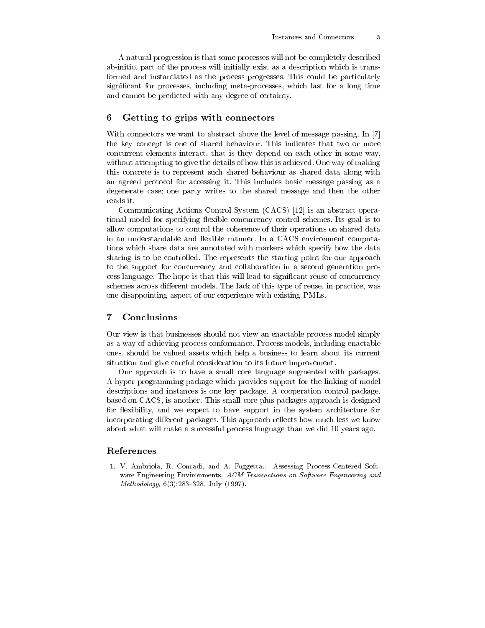A natural progression is that some processes will not be completely described ab-initio, part of the process will initially exist as a description which is transformed and instantiated as the process progresses. This could be particularly signicant for processes, including meta-processes, which last for a long time and cannot be predicted with any degree of certainty.

## 6 Getting to grips with connectors

With connectors we want to abstract above the level of message passing. In [7] the key concept is one of shared behaviour. This indicates that two or more concurrent elements interact, that is they depend on each other in some way, without attempting to give the details of how this is achieved. One way of making this concrete is to represent such shared behaviour as shared data along with an agreed protocol for accessing it. This includes basic message passing as a degenerate case; one party writes to the shared message and then the other reads it.

Communicating Actions Control System (CACS) [12] is an abstract operational model for specifying flexible concurrency control schemes. Its goal is to allow computations to control the coherence of their operations on shared data in an understandable and flexible manner. In a CACS environment computations which share data are annotated with markers which specify how the data sharing is to be controlled. The represents the starting point for our approach to the support for concurrency and collaboration in a second generation process language. The hope is that this will lead to signicant reuse of concurrency schemes across different models. The lack of this type of reuse, in practice, was one disappointing aspect of our experience with existing PMLs.

#### 7 Conclusions

Our view is that businesses should not view an enactable process model simply as a way of achieving process conformance. Process models, including enactable ones, should be valued assets which help a business to learn about its current situation and give careful consideration to its future improvement.

Our approach is to have a small core language augmented with packages. A hyper-programming package which provides support for the linking of model descriptions and instances is one key package. A cooperation control package, based on CACS, is another. This small core plus packages approach is designed for flexibility, and we expect to have support in the system architecture for incorporating different packages. This approach reflects how much less we know about what will make a successful process language than we did 10 years ago.

### References

1. V. Ambriola, R. Conradi, and A. Fuggetta.: Assessing Process-Centered Soft ware Engineering Environments. ACM Transactions on Software Engineering and  $Methodology, 6(3):283-328, July (1997).$